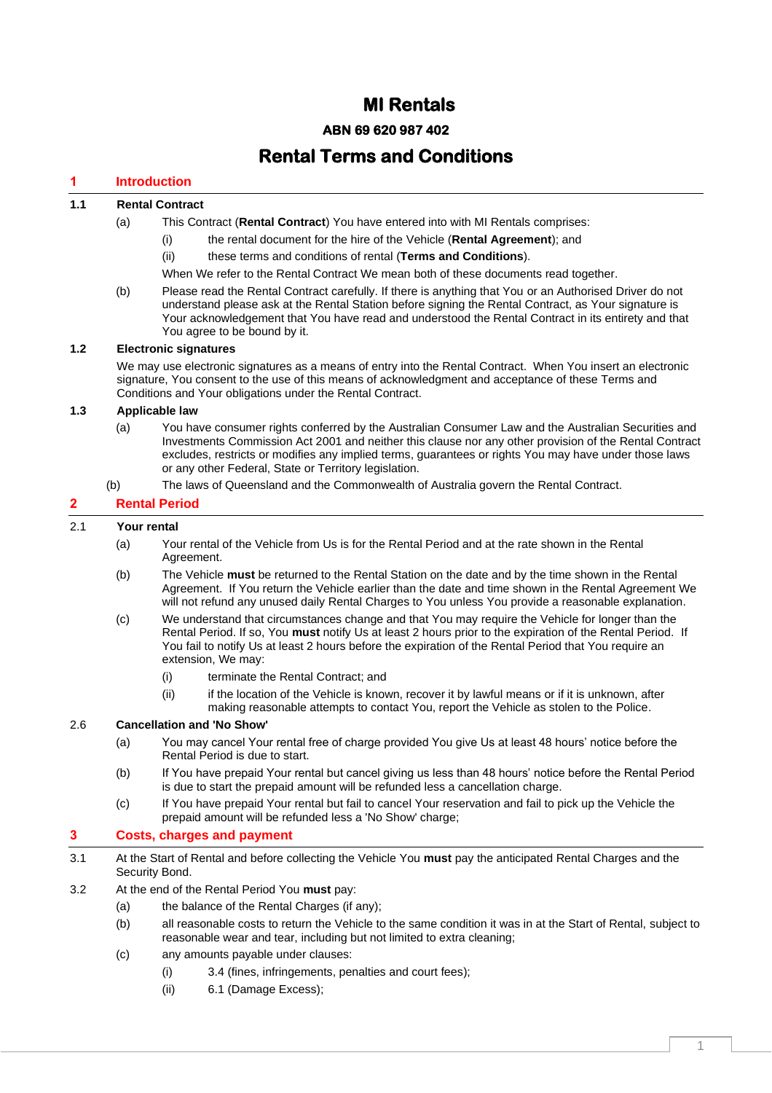# **MI Rentals**

# **ABN 69 620 987 402**

# **Rental Terms and Conditions**

# **1 Introduction**

# **1.1 Rental Contract**

- (a) This Contract (**Rental Contract**) You have entered into with MI Rentals comprises:
	- (i) the rental document for the hire of the Vehicle (**Rental Agreement**); and
	- (ii) these terms and conditions of rental (**Terms and Conditions**).
	- When We refer to the Rental Contract We mean both of these documents read together.
- (b) Please read the Rental Contract carefully. If there is anything that You or an Authorised Driver do not understand please ask at the Rental Station before signing the Rental Contract, as Your signature is Your acknowledgement that You have read and understood the Rental Contract in its entirety and that You agree to be bound by it.

# **1.2 Electronic signatures**

We may use electronic signatures as a means of entry into the Rental Contract. When You insert an electronic signature, You consent to the use of this means of acknowledgment and acceptance of these Terms and Conditions and Your obligations under the Rental Contract.

#### **1.3 Applicable law**

- (a) You have consumer rights conferred by the Australian Consumer Law and the Australian Securities and Investments Commission Act 2001 and neither this clause nor any other provision of the Rental Contract excludes, restricts or modifies any implied terms, guarantees or rights You may have under those laws or any other Federal, State or Territory legislation.
- (b) The laws of Queensland and the Commonwealth of Australia govern the Rental Contract.

# **2 Rental Period**

# 2.1 **Your rental**

- (a) Your rental of the Vehicle from Us is for the Rental Period and at the rate shown in the Rental Agreement.
- (b) The Vehicle **must** be returned to the Rental Station on the date and by the time shown in the Rental Agreement. If You return the Vehicle earlier than the date and time shown in the Rental Agreement We will not refund any unused daily Rental Charges to You unless You provide a reasonable explanation.
- (c) We understand that circumstances change and that You may require the Vehicle for longer than the Rental Period. If so, You **must** notify Us at least 2 hours prior to the expiration of the Rental Period. If You fail to notify Us at least 2 hours before the expiration of the Rental Period that You require an extension, We may:
	- (i) terminate the Rental Contract; and
	- (ii) if the location of the Vehicle is known, recover it by lawful means or if it is unknown, after making reasonable attempts to contact You, report the Vehicle as stolen to the Police.

## 2.6 **Cancellation and 'No Show'**

- (a) You may cancel Your rental free of charge provided You give Us at least 48 hours' notice before the Rental Period is due to start.
- (b) If You have prepaid Your rental but cancel giving us less than 48 hours' notice before the Rental Period is due to start the prepaid amount will be refunded less a cancellation charge.
- (c) If You have prepaid Your rental but fail to cancel Your reservation and fail to pick up the Vehicle the prepaid amount will be refunded less a 'No Show' charge;

# **3 Costs, charges and payment**

- 3.1 At the Start of Rental and before collecting the Vehicle You **must** pay the anticipated Rental Charges and the Security Bond.
- <span id="page-0-0"></span>3.2 At the end of the Rental Period You **must** pay:
	- (a) the balance of the Rental Charges (if any);
	- (b) all reasonable costs to return the Vehicle to the same condition it was in at the Start of Rental, subject to reasonable wear and tear, including but not limited to extra cleaning;
	- (c) any amounts payable under clauses:
		- (i) [3.4](#page-1-0) (fines, infringements, penalties and court fees);
		- (ii) [6.1](#page-3-0) (Damage Excess);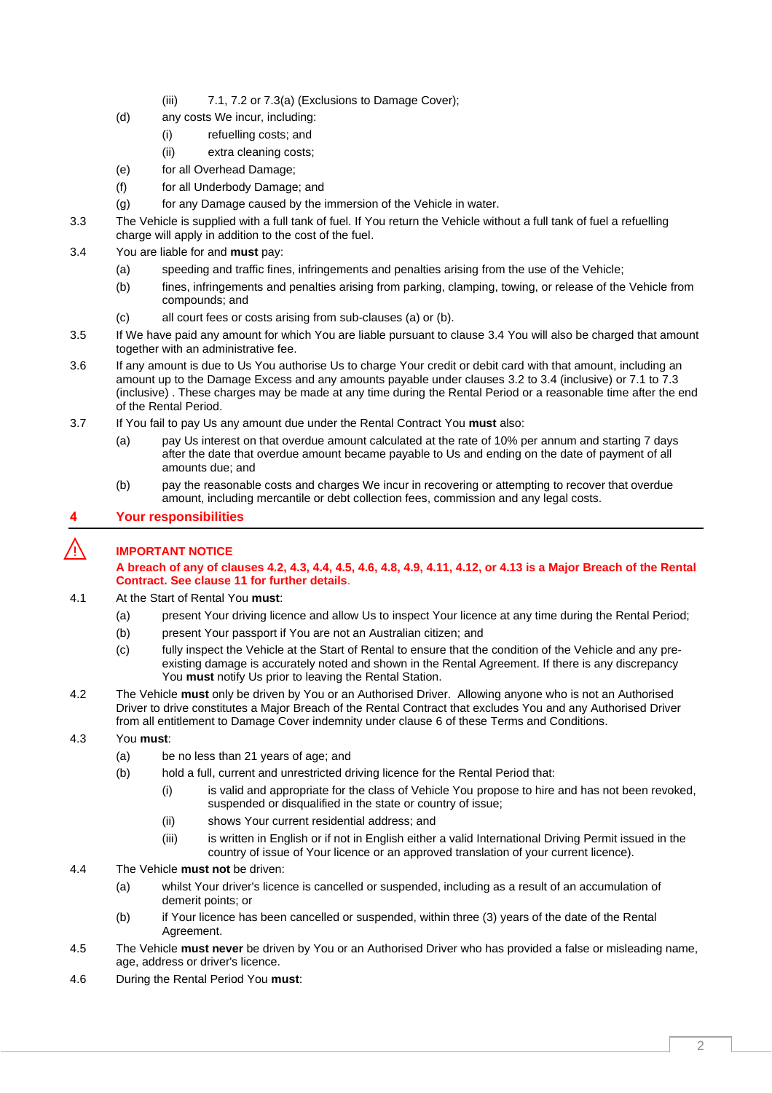- (iii) [7.1,](#page-4-0) [7.2](#page-4-1) o[r 7.3\(a\)](#page-5-0) (Exclusions to Damage Cover);
- (d) any costs We incur, including:
	- (i) refuelling costs; and
	- (ii) extra cleaning costs;
- (e) for all Overhead Damage;
- (f) for all Underbody Damage; and
- (g) for any Damage caused by the immersion of the Vehicle in water.
- 3.3 The Vehicle is supplied with a full tank of fuel. If You return the Vehicle without a full tank of fuel a refuelling charge will apply in addition to the cost of the fuel.
- <span id="page-1-2"></span><span id="page-1-1"></span><span id="page-1-0"></span>3.4 You are liable for and **must** pay:
	- (a) speeding and traffic fines, infringements and penalties arising from the use of the Vehicle;
	- (b) fines, infringements and penalties arising from parking, clamping, towing, or release of the Vehicle from compounds; and
	- (c) all court fees or costs arising from sub-clause[s \(a\)](#page-1-1) o[r \(b\).](#page-1-2)
- 3.5 If We have paid any amount for which You are liable pursuant to clause [3.4](#page-1-0) You will also be charged that amount together with an administrative fee.
- 3.6 If any amount is due to Us You authorise Us to charge Your credit or debit card with that amount, including an amount up to the Damage Excess and any amounts payable under clauses [3.2](#page-0-0) to [3.4](#page-1-0) (inclusive) or [7.1](#page-4-0) to [7.3](#page-5-1) (inclusive) . These charges may be made at any time during the Rental Period or a reasonable time after the end of the Rental Period.
- 3.7 If You fail to pay Us any amount due under the Rental Contract You **must** also:
	- (a) pay Us interest on that overdue amount calculated at the rate of 10% per annum and starting 7 days after the date that overdue amount became payable to Us and ending on the date of payment of all amounts due; and
	- (b) pay the reasonable costs and charges We incur in recovering or attempting to recover that overdue amount, including mercantile or debt collection fees, commission and any legal costs.

# **4 Your responsibilities**

# ⚠️ **IMPORTANT NOTICE**

## **A breach of any of clauses [4.2,](#page-1-3) [4.3,](#page-1-4) [4.4,](#page-1-5) [4.5,](#page-1-6) [4.6,](#page-1-7) [4.8,](#page-2-0) [4.9,](#page-2-1) [4.11,](#page-3-1) [4.12,](#page-3-2) or [4.13](#page-3-3) is a Major Breach of the Rental Contract. See claus[e 11](#page-6-0) for further details**.

- 4.1 At the Start of Rental You **must**:
	- (a) present Your driving licence and allow Us to inspect Your licence at any time during the Rental Period;
	- (b) present Your passport if You are not an Australian citizen; and
	- (c) fully inspect the Vehicle at the Start of Rental to ensure that the condition of the Vehicle and any preexisting damage is accurately noted and shown in the Rental Agreement. If there is any discrepancy You **must** notify Us prior to leaving the Rental Station.
- <span id="page-1-3"></span>4.2 The Vehicle **must** only be driven by You or an Authorised Driver. Allowing anyone who is not an Authorised Driver to drive constitutes a Major Breach of the Rental Contract that excludes You and any Authorised Driver from all entitlement to Damage Cover indemnity under clause [6](#page-3-4) of these Terms and Conditions.

## <span id="page-1-4"></span>4.3 You **must**:

- (a) be no less than 21 years of age; and
- (b) hold a full, current and unrestricted driving licence for the Rental Period that:
	- (i) is valid and appropriate for the class of Vehicle You propose to hire and has not been revoked, suspended or disqualified in the state or country of issue;
	- (ii) shows Your current residential address; and
	- (iii) is written in English or if not in English either a valid International Driving Permit issued in the country of issue of Your licence or an approved translation of your current licence).
- <span id="page-1-5"></span>4.4 The Vehicle **must not** be driven:
	- (a) whilst Your driver's licence is cancelled or suspended, including as a result of an accumulation of demerit points; or
	- (b) if Your licence has been cancelled or suspended, within three (3) years of the date of the Rental Agreement.
- <span id="page-1-6"></span>4.5 The Vehicle **must never** be driven by You or an Authorised Driver who has provided a false or misleading name, age, address or driver's licence.
- <span id="page-1-7"></span>4.6 During the Rental Period You **must**: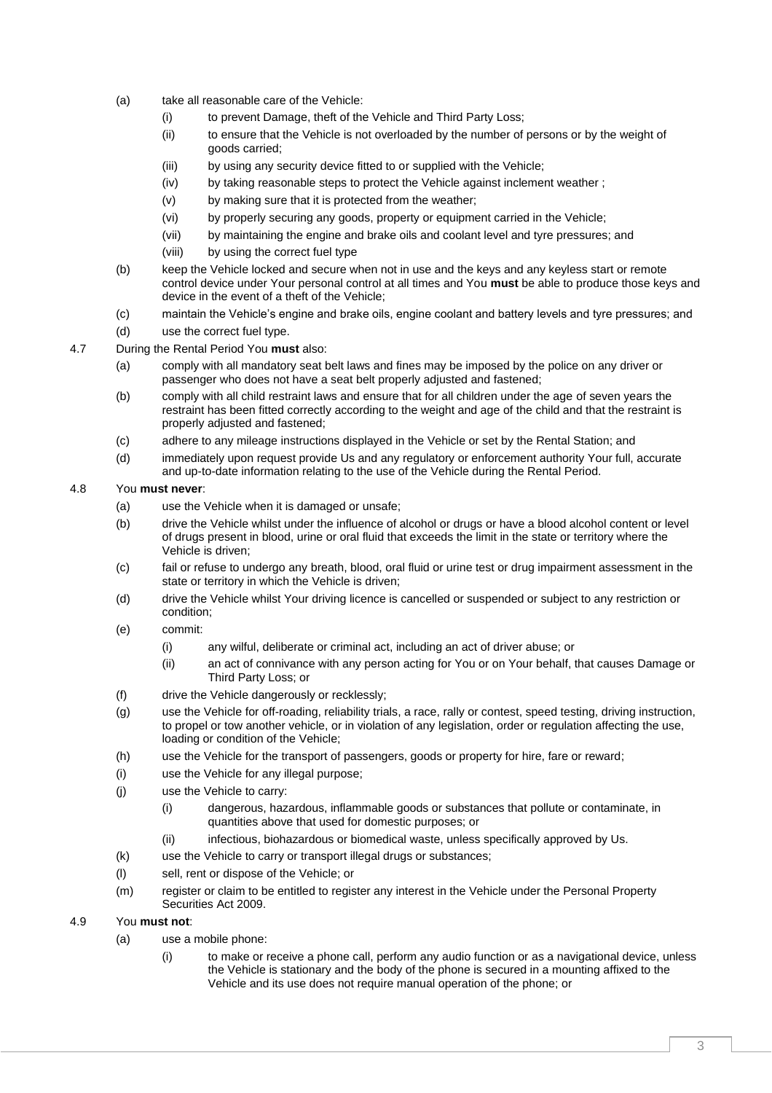- (a) take all reasonable care of the Vehicle:
	- (i) to prevent Damage, theft of the Vehicle and Third Party Loss;
	- (ii) to ensure that the Vehicle is not overloaded by the number of persons or by the weight of goods carried;
	- (iii) by using any security device fitted to or supplied with the Vehicle;
	- (iv) by taking reasonable steps to protect the Vehicle against inclement weather ;
	- (v) by making sure that it is protected from the weather;
	- (vi) by properly securing any goods, property or equipment carried in the Vehicle;
	- (vii) by maintaining the engine and brake oils and coolant level and tyre pressures; and
	- (viii) by using the correct fuel type
- (b) keep the Vehicle locked and secure when not in use and the keys and any keyless start or remote control device under Your personal control at all times and You **must** be able to produce those keys and device in the event of a theft of the Vehicle;
- (c) maintain the Vehicle's engine and brake oils, engine coolant and battery levels and tyre pressures; and
- (d) use the correct fuel type.
- 4.7 During the Rental Period You **must** also:
	- (a) comply with all mandatory seat belt laws and fines may be imposed by the police on any driver or passenger who does not have a seat belt properly adjusted and fastened;
	- (b) comply with all child restraint laws and ensure that for all children under the age of seven years the restraint has been fitted correctly according to the weight and age of the child and that the restraint is properly adjusted and fastened;
	- (c) adhere to any mileage instructions displayed in the Vehicle or set by the Rental Station; and
	- (d) immediately upon request provide Us and any regulatory or enforcement authority Your full, accurate and up-to-date information relating to the use of the Vehicle during the Rental Period.

## <span id="page-2-0"></span>4.8 You **must never**:

- (a) use the Vehicle when it is damaged or unsafe;
- (b) drive the Vehicle whilst under the influence of alcohol or drugs or have a blood alcohol content or level of drugs present in blood, urine or oral fluid that exceeds the limit in the state or territory where the Vehicle is driven;
- (c) fail or refuse to undergo any breath, blood, oral fluid or urine test or drug impairment assessment in the state or territory in which the Vehicle is driven;
- (d) drive the Vehicle whilst Your driving licence is cancelled or suspended or subject to any restriction or condition;
- (e) commit:
	- (i) any wilful, deliberate or criminal act, including an act of driver abuse; or
	- (ii) an act of connivance with any person acting for You or on Your behalf, that causes Damage or Third Party Loss; or
- (f) drive the Vehicle dangerously or recklessly;
- (g) use the Vehicle for off-roading, reliability trials, a race, rally or contest, speed testing, driving instruction, to propel or tow another vehicle, or in violation of any legislation, order or regulation affecting the use, loading or condition of the Vehicle;
- (h) use the Vehicle for the transport of passengers, goods or property for hire, fare or reward;
- (i) use the Vehicle for any illegal purpose;
- (j) use the Vehicle to carry:
	- (i) dangerous, hazardous, inflammable goods or substances that pollute or contaminate, in quantities above that used for domestic purposes; or
	- (ii) infectious, biohazardous or biomedical waste, unless specifically approved by Us.
- (k) use the Vehicle to carry or transport illegal drugs or substances;
- (l) sell, rent or dispose of the Vehicle; or
- (m) register or claim to be entitled to register any interest in the Vehicle under the Personal Property Securities Act 2009.

#### <span id="page-2-1"></span>4.9 You **must not**:

- (a) use a mobile phone:
	- (i) to make or receive a phone call, perform any audio function or as a navigational device, unless the Vehicle is stationary and the body of the phone is secured in a mounting affixed to the Vehicle and its use does not require manual operation of the phone; or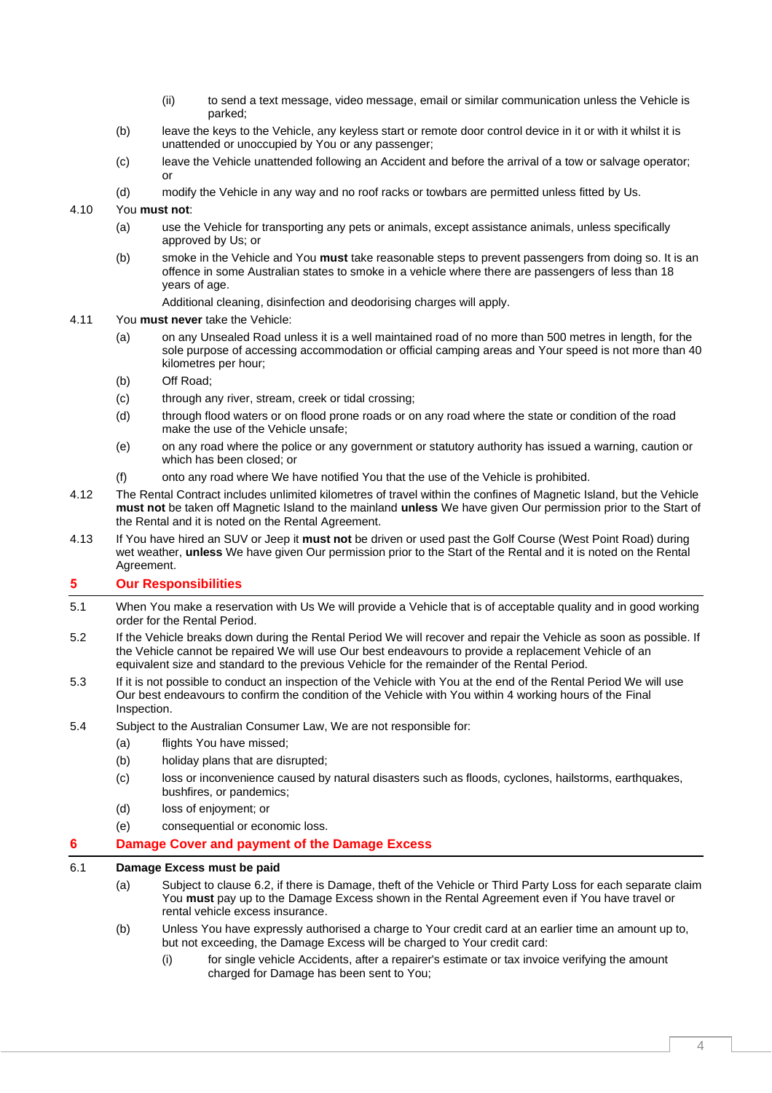- (ii) to send a text message, video message, email or similar communication unless the Vehicle is parked;
- (b) leave the keys to the Vehicle, any keyless start or remote door control device in it or with it whilst it is unattended or unoccupied by You or any passenger;
- (c) leave the Vehicle unattended following an Accident and before the arrival of a tow or salvage operator; or
- (d) modify the Vehicle in any way and no roof racks or towbars are permitted unless fitted by Us.

## 4.10 You **must not**:

- (a) use the Vehicle for transporting any pets or animals, except assistance animals, unless specifically approved by Us; or
- (b) smoke in the Vehicle and You **must** take reasonable steps to prevent passengers from doing so. It is an offence in some Australian states to smoke in a vehicle where there are passengers of less than 18 years of age.
	- Additional cleaning, disinfection and deodorising charges will apply.

#### <span id="page-3-1"></span>4.11 You **must never** take the Vehicle:

- (a) on any Unsealed Road unless it is a well maintained road of no more than 500 metres in length, for the sole purpose of accessing accommodation or official camping areas and Your speed is not more than 40 kilometres per hour;
- (b) Off Road;
- (c) through any river, stream, creek or tidal crossing;
- (d) through flood waters or on flood prone roads or on any road where the state or condition of the road make the use of the Vehicle unsafe;
- (e) on any road where the police or any government or statutory authority has issued a warning, caution or which has been closed; or
- (f) onto any road where We have notified You that the use of the Vehicle is prohibited.
- <span id="page-3-2"></span>4.12 The Rental Contract includes unlimited kilometres of travel within the confines of Magnetic Island, but the Vehicle **must not** be taken off Magnetic Island to the mainland **unless** We have given Our permission prior to the Start of the Rental and it is noted on the Rental Agreement.
- <span id="page-3-3"></span>4.13 If You have hired an SUV or Jeep it **must not** be driven or used past the Golf Course (West Point Road) during wet weather, **unless** We have given Our permission prior to the Start of the Rental and it is noted on the Rental Agreement.

# **5 Our Responsibilities**

- 5.1 When You make a reservation with Us We will provide a Vehicle that is of acceptable quality and in good working order for the Rental Period.
- 5.2 If the Vehicle breaks down during the Rental Period We will recover and repair the Vehicle as soon as possible. If the Vehicle cannot be repaired We will use Our best endeavours to provide a replacement Vehicle of an equivalent size and standard to the previous Vehicle for the remainder of the Rental Period.
- 5.3 If it is not possible to conduct an inspection of the Vehicle with You at the end of the Rental Period We will use Our best endeavours to confirm the condition of the Vehicle with You within 4 working hours of the Final Inspection.
- 5.4 Subject to the Australian Consumer Law, We are not responsible for:
	- (a) flights You have missed;
	- (b) holiday plans that are disrupted;
	- (c) loss or inconvenience caused by natural disasters such as floods, cyclones, hailstorms, earthquakes, bushfires, or pandemics;
	- (d) loss of enjoyment; or
	- (e) consequential or economic loss.

## <span id="page-3-4"></span>**6 Damage Cover and payment of the Damage Excess**

#### <span id="page-3-0"></span>6.1 **Damage Excess must be paid**

- (a) Subject to clause [6.2,](#page-4-2) if there is Damage, theft of the Vehicle or Third Party Loss for each separate claim You **must** pay up to the Damage Excess shown in the Rental Agreement even if You have travel or rental vehicle excess insurance.
- <span id="page-3-6"></span><span id="page-3-5"></span>(b) Unless You have expressly authorised a charge to Your credit card at an earlier time an amount up to, but not exceeding, the Damage Excess will be charged to Your credit card:
	- (i) for single vehicle Accidents, after a repairer's estimate or tax invoice verifying the amount charged for Damage has been sent to You;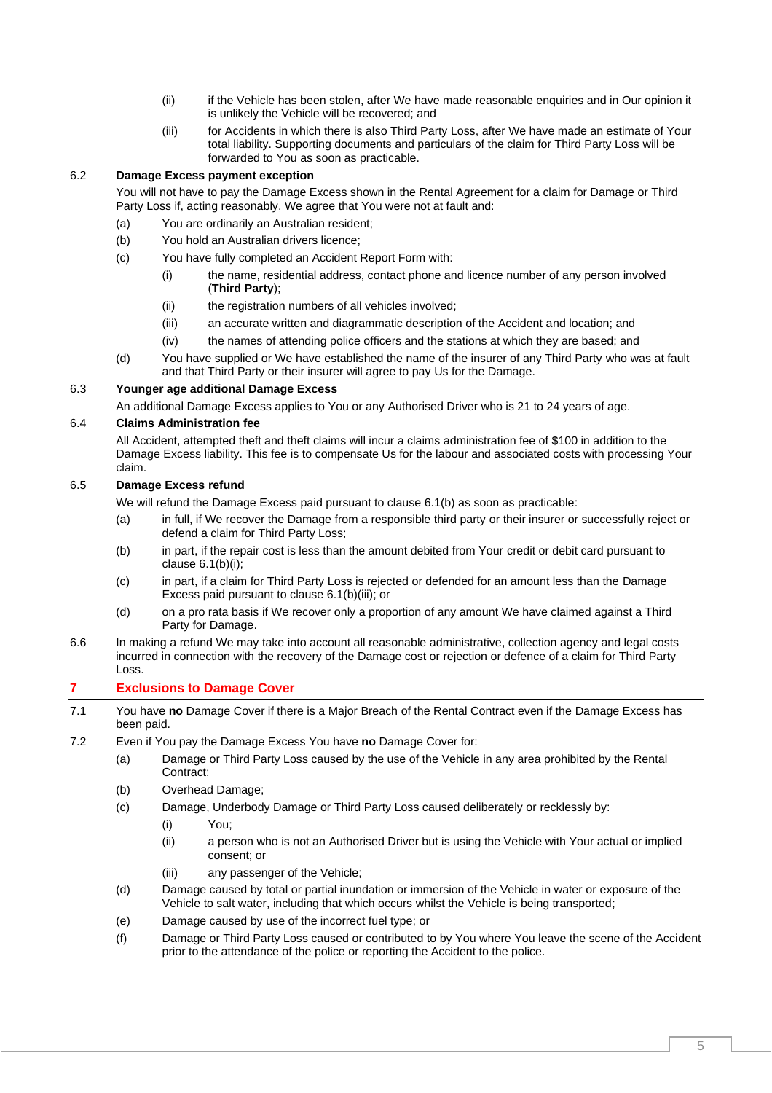- (ii) if the Vehicle has been stolen, after We have made reasonable enquiries and in Our opinion it is unlikely the Vehicle will be recovered; and
- (iii) for Accidents in which there is also Third Party Loss, after We have made an estimate of Your total liability. Supporting documents and particulars of the claim for Third Party Loss will be forwarded to You as soon as practicable.

## <span id="page-4-3"></span><span id="page-4-2"></span>6.2 **Damage Excess payment exception**

You will not have to pay the Damage Excess shown in the Rental Agreement for a claim for Damage or Third Party Loss if, acting reasonably, We agree that You were not at fault and:

- (a) You are ordinarily an Australian resident;
- (b) You hold an Australian drivers licence;
- (c) You have fully completed an Accident Report Form with:
	- (i) the name, residential address, contact phone and licence number of any person involved (**Third Party**);
	- (ii) the registration numbers of all vehicles involved;
	- (iii) an accurate written and diagrammatic description of the Accident and location; and
	- (iv) the names of attending police officers and the stations at which they are based; and
- (d) You have supplied or We have established the name of the insurer of any Third Party who was at fault and that Third Party or their insurer will agree to pay Us for the Damage.

# 6.3 **Younger age additional Damage Excess**

An additional Damage Excess applies to You or any Authorised Driver who is 21 to 24 years of age.

# 6.4 **Claims Administration fee**

All Accident, attempted theft and theft claims will incur a claims administration fee of \$100 in addition to the Damage Excess liability. This fee is to compensate Us for the labour and associated costs with processing Your claim.

#### 6.5 **Damage Excess refund**

We will refund the Damage Excess paid pursuant to clause [6.1\(b\)](#page-3-5) as soon as practicable:

- (a) in full, if We recover the Damage from a responsible third party or their insurer or successfully reject or defend a claim for Third Party Loss;
- (b) in part, if the repair cost is less than the amount debited from Your credit or debit card pursuant to clause [6.1\(b\)\(i\);](#page-3-6)
- (c) in part, if a claim for Third Party Loss is rejected or defended for an amount less than the Damage Excess paid pursuant to clause [6.1\(b\)\(iii\);](#page-4-3) or
- (d) on a pro rata basis if We recover only a proportion of any amount We have claimed against a Third Party for Damage.
- 6.6 In making a refund We may take into account all reasonable administrative, collection agency and legal costs incurred in connection with the recovery of the Damage cost or rejection or defence of a claim for Third Party Loss.

# **7 Exclusions to Damage Cover**

- <span id="page-4-0"></span>7.1 You have **no** Damage Cover if there is a Major Breach of the Rental Contract even if the Damage Excess has been paid.
- <span id="page-4-1"></span>7.2 Even if You pay the Damage Excess You have **no** Damage Cover for:
	- (a) Damage or Third Party Loss caused by the use of the Vehicle in any area prohibited by the Rental Contract;
	- (b) Overhead Damage;
	- (c) Damage, Underbody Damage or Third Party Loss caused deliberately or recklessly by:
		- (i) You;
		- (ii) a person who is not an Authorised Driver but is using the Vehicle with Your actual or implied consent; or
		- (iii) any passenger of the Vehicle;
	- (d) Damage caused by total or partial inundation or immersion of the Vehicle in water or exposure of the Vehicle to salt water, including that which occurs whilst the Vehicle is being transported;
	- (e) Damage caused by use of the incorrect fuel type; or
	- (f) Damage or Third Party Loss caused or contributed to by You where You leave the scene of the Accident prior to the attendance of the police or reporting the Accident to the police.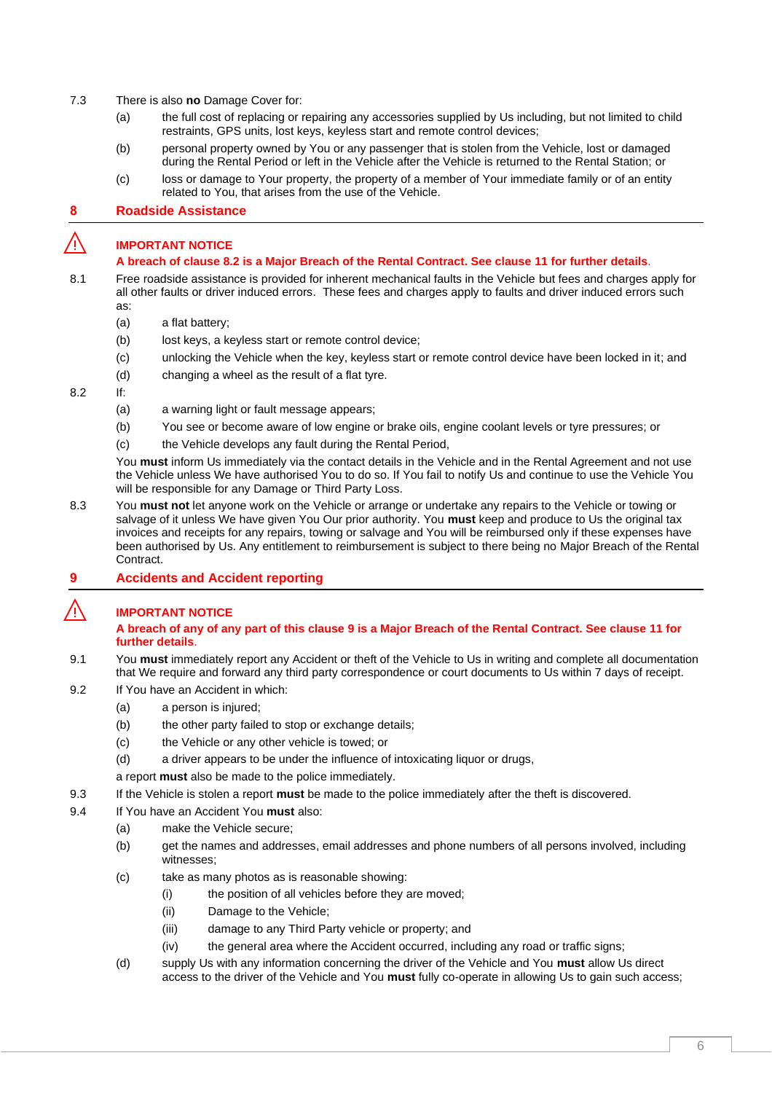- <span id="page-5-1"></span><span id="page-5-0"></span>7.3 There is also **no** Damage Cover for:
	- (a) the full cost of replacing or repairing any accessories supplied by Us including, but not limited to child restraints, GPS units, lost keys, keyless start and remote control devices;
	- (b) personal property owned by You or any passenger that is stolen from the Vehicle, lost or damaged during the Rental Period or left in the Vehicle after the Vehicle is returned to the Rental Station; or
	- (c) loss or damage to Your property, the property of a member of Your immediate family or of an entity related to You, that arises from the use of the Vehicle.

# **8 Roadside Assistance**

# ⚠️ **IMPORTANT NOTICE**

### **A breach of clause [8.2](#page-5-2) is a Major Breach of the Rental Contract. See clause [11](#page-6-0) for further details**.

- 8.1 Free roadside assistance is provided for inherent mechanical faults in the Vehicle but fees and charges apply for all other faults or driver induced errors. These fees and charges apply to faults and driver induced errors such as:
	- (a) a flat battery;
	- (b) lost keys, a keyless start or remote control device;
	- (c) unlocking the Vehicle when the key, keyless start or remote control device have been locked in it; and
	- (d) changing a wheel as the result of a flat tyre.
- <span id="page-5-2"></span>8.2 If:
	- (a) a warning light or fault message appears;
	- (b) You see or become aware of low engine or brake oils, engine coolant levels or tyre pressures; or
	- (c) the Vehicle develops any fault during the Rental Period,

You **must** inform Us immediately via the contact details in the Vehicle and in the Rental Agreement and not use the Vehicle unless We have authorised You to do so. If You fail to notify Us and continue to use the Vehicle You will be responsible for any Damage or Third Party Loss.

- 8.3 You **must not** let anyone work on the Vehicle or arrange or undertake any repairs to the Vehicle or towing or salvage of it unless We have given You Our prior authority. You **must** keep and produce to Us the original tax invoices and receipts for any repairs, towing or salvage and You will be reimbursed only if these expenses have been authorised by Us. Any entitlement to reimbursement is subject to there being no Major Breach of the Rental **Contract.**
- <span id="page-5-3"></span>**9 Accidents and Accident reporting**

# ⚠️ **IMPORTANT NOTICE**

## **A breach of any of any part of this clause [9](#page-5-3) is a Major Breach of the Rental Contract. See claus[e 11](#page-6-0) for further details**.

- 9.1 You **must** immediately report any Accident or theft of the Vehicle to Us in writing and complete all documentation that We require and forward any third party correspondence or court documents to Us within 7 days of receipt.
- 9.2 If You have an Accident in which:
	- (a) a person is injured;
	- (b) the other party failed to stop or exchange details;
	- (c) the Vehicle or any other vehicle is towed; or
	- (d) a driver appears to be under the influence of intoxicating liquor or drugs,
	- a report **must** also be made to the police immediately.
- 9.3 If the Vehicle is stolen a report **must** be made to the police immediately after the theft is discovered.
- 9.4 If You have an Accident You **must** also:
	- (a) make the Vehicle secure;
	- (b) get the names and addresses, email addresses and phone numbers of all persons involved, including witnesses;
	- (c) take as many photos as is reasonable showing:
		- (i) the position of all vehicles before they are moved;
		- (ii) Damage to the Vehicle;
		- (iii) damage to any Third Party vehicle or property; and
		- (iv) the general area where the Accident occurred, including any road or traffic signs;
	- (d) supply Us with any information concerning the driver of the Vehicle and You **must** allow Us direct access to the driver of the Vehicle and You **must** fully co-operate in allowing Us to gain such access;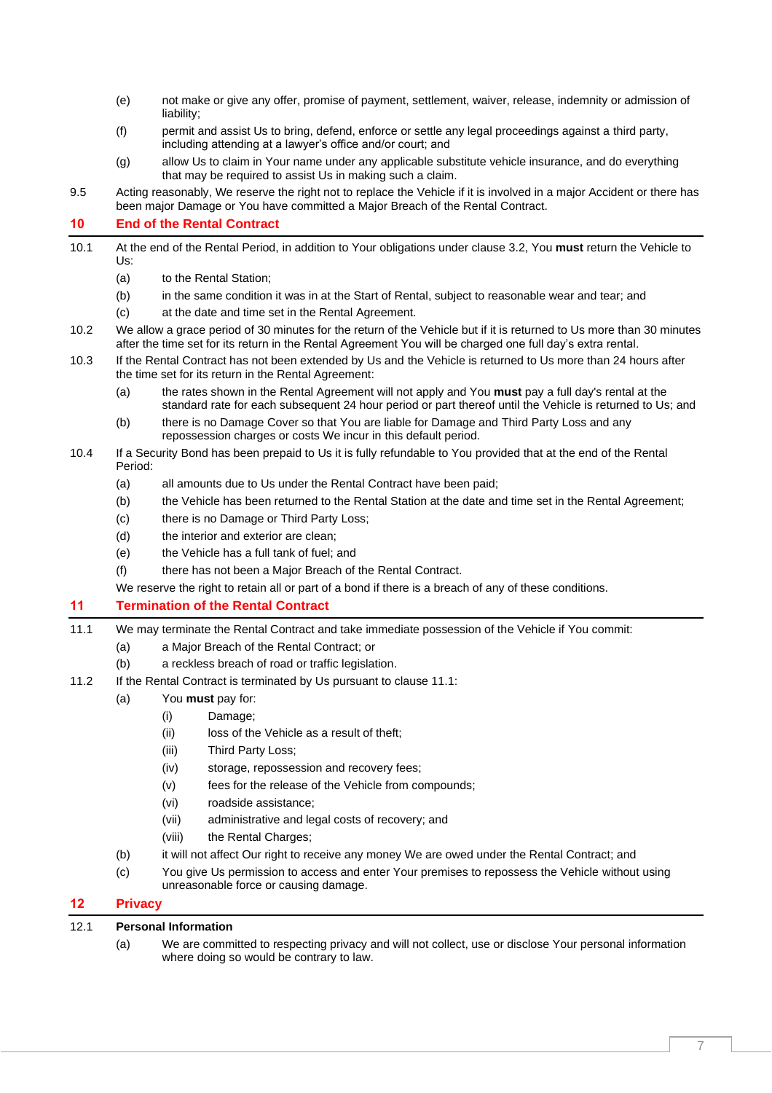- (e) not make or give any offer, promise of payment, settlement, waiver, release, indemnity or admission of liability;
- (f) permit and assist Us to bring, defend, enforce or settle any legal proceedings against a third party, including attending at a lawyer's office and/or court; and
- (g) allow Us to claim in Your name under any applicable substitute vehicle insurance, and do everything that may be required to assist Us in making such a claim.
- 9.5 Acting reasonably, We reserve the right not to replace the Vehicle if it is involved in a major Accident or there has been major Damage or You have committed a Major Breach of the Rental Contract.

# **10 End of the Rental Contract**

- 10.1 At the end of the Rental Period, in addition to Your obligations under clause [3.2,](#page-0-0) You **must** return the Vehicle to Us:
	- (a) to the Rental Station;
	- (b) in the same condition it was in at the Start of Rental, subject to reasonable wear and tear; and
	- (c) at the date and time set in the Rental Agreement.
- 10.2 We allow a grace period of 30 minutes for the return of the Vehicle but if it is returned to Us more than 30 minutes after the time set for its return in the Rental Agreement You will be charged one full day's extra rental.
- 10.3 If the Rental Contract has not been extended by Us and the Vehicle is returned to Us more than 24 hours after the time set for its return in the Rental Agreement:
	- (a) the rates shown in the Rental Agreement will not apply and You **must** pay a full day's rental at the standard rate for each subsequent 24 hour period or part thereof until the Vehicle is returned to Us; and
	- (b) there is no Damage Cover so that You are liable for Damage and Third Party Loss and any repossession charges or costs We incur in this default period.
- <span id="page-6-2"></span>10.4 If a Security Bond has been prepaid to Us it is fully refundable to You provided that at the end of the Rental Period:
	- (a) all amounts due to Us under the Rental Contract have been paid;
	- (b) the Vehicle has been returned to the Rental Station at the date and time set in the Rental Agreement;
	- (c) there is no Damage or Third Party Loss;
	- (d) the interior and exterior are clean:
	- (e) the Vehicle has a full tank of fuel; and
	- (f) there has not been a Major Breach of the Rental Contract.
	- We reserve the right to retain all or part of a bond if there is a breach of any of these conditions.

# <span id="page-6-0"></span>**11 Termination of the Rental Contract**

- <span id="page-6-1"></span>11.1 We may terminate the Rental Contract and take immediate possession of the Vehicle if You commit:
	- (a) a Major Breach of the Rental Contract; or
	- (b) a reckless breach of road or traffic legislation.
- 11.2 If the Rental Contract is terminated by Us pursuant to claus[e 11.1:](#page-6-1)

# (a) You **must** pay for:

- (i) Damage;
- (ii) loss of the Vehicle as a result of theft;
- (iii) Third Party Loss;
- (iv) storage, repossession and recovery fees;
- (v) fees for the release of the Vehicle from compounds;
- (vi) roadside assistance;
- (vii) administrative and legal costs of recovery; and
- (viii) the Rental Charges;
- (b) it will not affect Our right to receive any money We are owed under the Rental Contract; and
- (c) You give Us permission to access and enter Your premises to repossess the Vehicle without using unreasonable force or causing damage.

# **12 Privacy**

#### 12.1 **Personal Information**

(a) We are committed to respecting privacy and will not collect, use or disclose Your personal information where doing so would be contrary to law.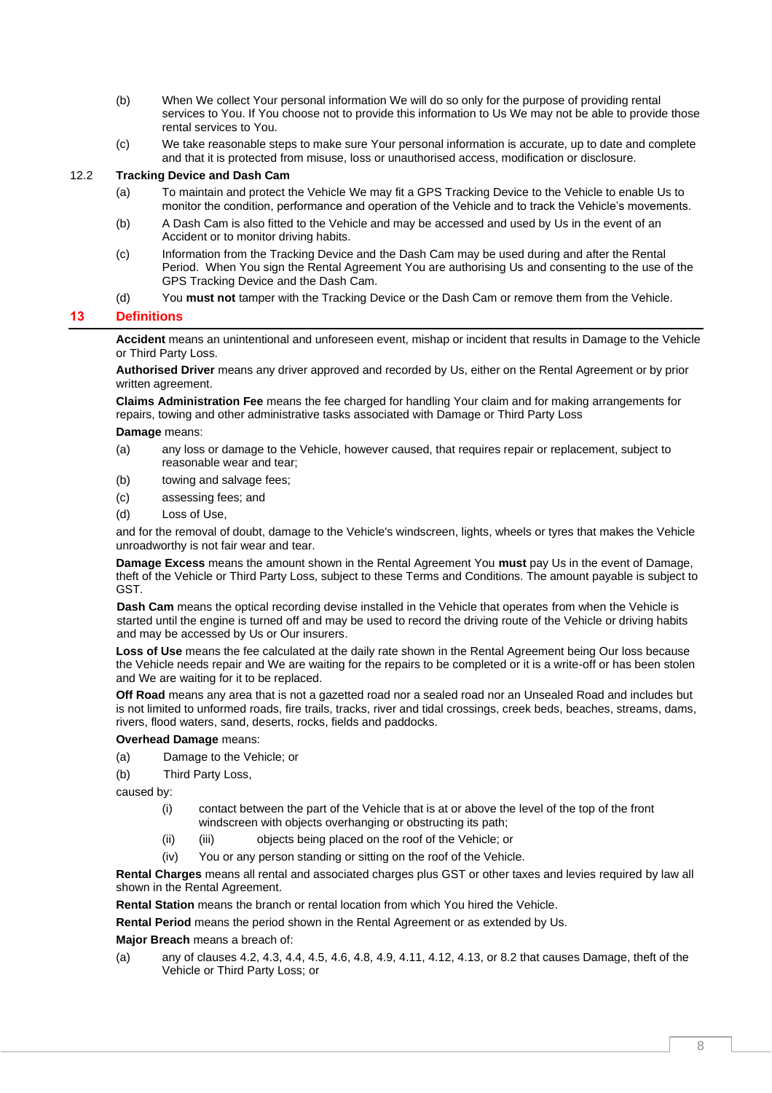- (b) When We collect Your personal information We will do so only for the purpose of providing rental services to You. If You choose not to provide this information to Us We may not be able to provide those rental services to You.
- (c) We take reasonable steps to make sure Your personal information is accurate, up to date and complete and that it is protected from misuse, loss or unauthorised access, modification or disclosure.

#### 12.2 **Tracking Device and Dash Cam**

- (a) To maintain and protect the Vehicle We may fit a GPS Tracking Device to the Vehicle to enable Us to monitor the condition, performance and operation of the Vehicle and to track the Vehicle's movements.
- (b) A Dash Cam is also fitted to the Vehicle and may be accessed and used by Us in the event of an Accident or to monitor driving habits.
- (c) Information from the Tracking Device and the Dash Cam may be used during and after the Rental Period. When You sign the Rental Agreement You are authorising Us and consenting to the use of the GPS Tracking Device and the Dash Cam.
- (d) You **must not** tamper with the Tracking Device or the Dash Cam or remove them from the Vehicle.

#### **13 Definitions**

**Accident** means an unintentional and unforeseen event, mishap or incident that results in Damage to the Vehicle or Third Party Loss.

**Authorised Driver** means any driver approved and recorded by Us, either on the Rental Agreement or by prior written agreement.

**Claims Administration Fee** means the fee charged for handling Your claim and for making arrangements for repairs, towing and other administrative tasks associated with Damage or Third Party Loss

**Damage** means:

- (a) any loss or damage to the Vehicle, however caused, that requires repair or replacement, subject to reasonable wear and tear;
- (b) towing and salvage fees;
- (c) assessing fees; and
- (d) Loss of Use,

and for the removal of doubt, damage to the Vehicle's windscreen, lights, wheels or tyres that makes the Vehicle unroadworthy is not fair wear and tear.

**Damage Excess** means the amount shown in the Rental Agreement You **must** pay Us in the event of Damage, theft of the Vehicle or Third Party Loss, subject to these Terms and Conditions. The amount payable is subject to GST.

**Dash Cam** means the optical recording devise installed in the Vehicle that operates from when the Vehicle is started until the engine is turned off and may be used to record the driving route of the Vehicle or driving habits and may be accessed by Us or Our insurers.

**Loss of Use** means the fee calculated at the daily rate shown in the Rental Agreement being Our loss because the Vehicle needs repair and We are waiting for the repairs to be completed or it is a write-off or has been stolen and We are waiting for it to be replaced.

**Off Road** means any area that is not a gazetted road nor a sealed road nor an Unsealed Road and includes but is not limited to unformed roads, fire trails, tracks, river and tidal crossings, creek beds, beaches, streams, dams, rivers, flood waters, sand, deserts, rocks, fields and paddocks.

#### **Overhead Damage** means:

- (a) Damage to the Vehicle; or
- (b) Third Party Loss,

caused by:

- (i) contact between the part of the Vehicle that is at or above the level of the top of the front windscreen with objects overhanging or obstructing its path;
- (ii) (iii) objects being placed on the roof of the Vehicle; or
- (iv) You or any person standing or sitting on the roof of the Vehicle.

**Rental Charges** means all rental and associated charges plus GST or other taxes and levies required by law all shown in the Rental Agreement.

**Rental Station** means the branch or rental location from which You hired the Vehicle.

**Rental Period** means the period shown in the Rental Agreement or as extended by Us.

**Major Breach** means a breach of:

(a) any of clauses [4.2,](#page-1-3) [4.3,](#page-1-4) [4.4,](#page-1-5) [4.5,](#page-1-6) [4.6,](#page-1-7) [4.8,](#page-2-0) [4.9,](#page-2-1) [4.11,](#page-3-1) [4.12,](#page-3-2) [4.13,](#page-3-3) o[r 8.2](#page-5-2) that causes Damage, theft of the Vehicle or Third Party Loss; or